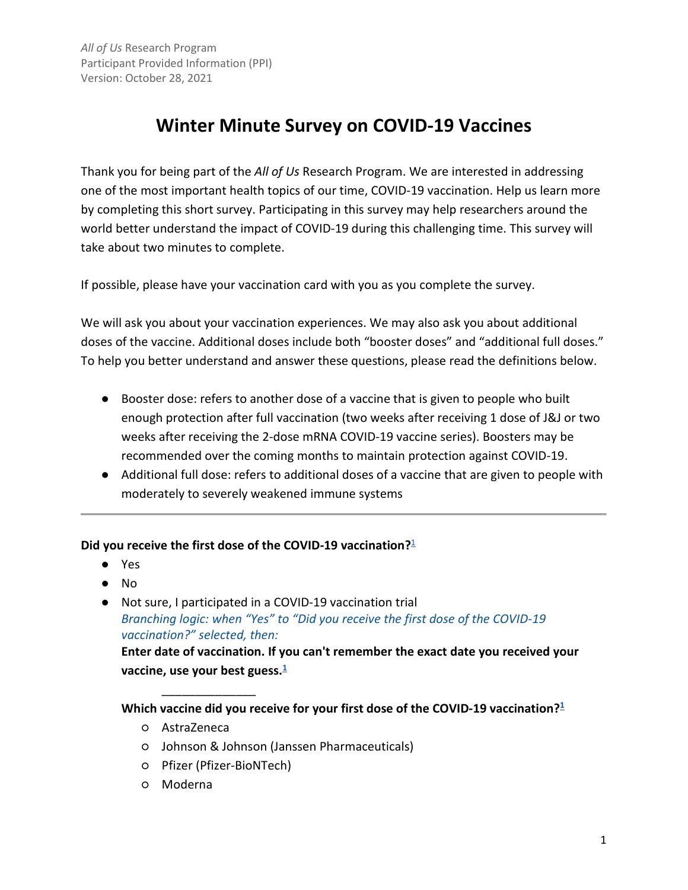# **Winter Minute Survey on COVID-19 Vaccines**

Thank you for being part of the *All of Us* Research Program. We are interested in addressing one of the most important health topics of our time, COVID-19 vaccination. Help us learn more by completing this short survey. Participating in this survey may help researchers around the world better understand the impact of COVID-19 during this challenging time. This survey will take about two minutes to complete.

If possible, please have your vaccination card with you as you complete the survey.

We will ask you about your vaccination experiences. We may also ask you about additional doses of the vaccine. Additional doses include both "booster doses" and "additional full doses." To help you better understand and answer these questions, please read the definitions below.

- Booster dose: refers to another dose of a vaccine that is given to people who built enough protection after full vaccination (two weeks after receiving 1 dose of J&J or two weeks after receiving the 2-dose mRNA COVID-19 vaccine series). Boosters may be recommended over the coming months to maintain protection against COVID-19.
- Additional full dose: refers to additional doses of a vaccine that are given to people with moderately to severely weakened immune systems

#### **Did you receive the first dose of the COVID-19 vaccination?**[1](#page-9-0)

- Yes
- No
- Not sure, I participated in a COVID-19 vaccination trial *Branching logic: when "Yes" to "Did you receive the first dose of the COVID-19 vaccination?" selected, then:*

**Enter date of vaccination. If you can't remember the exact date you received your vaccine, use your best guess[.1](#page-9-0)**

**Which vaccine did you receive for your first dose of the COVID-19 vaccination[?1](#page-9-0)**

- AstraZeneca
- Johnson & Johnson (Janssen Pharmaceuticals)
- Pfizer (Pfizer-BioNTech)

\_\_\_\_\_\_\_\_\_\_\_\_\_\_

○ Moderna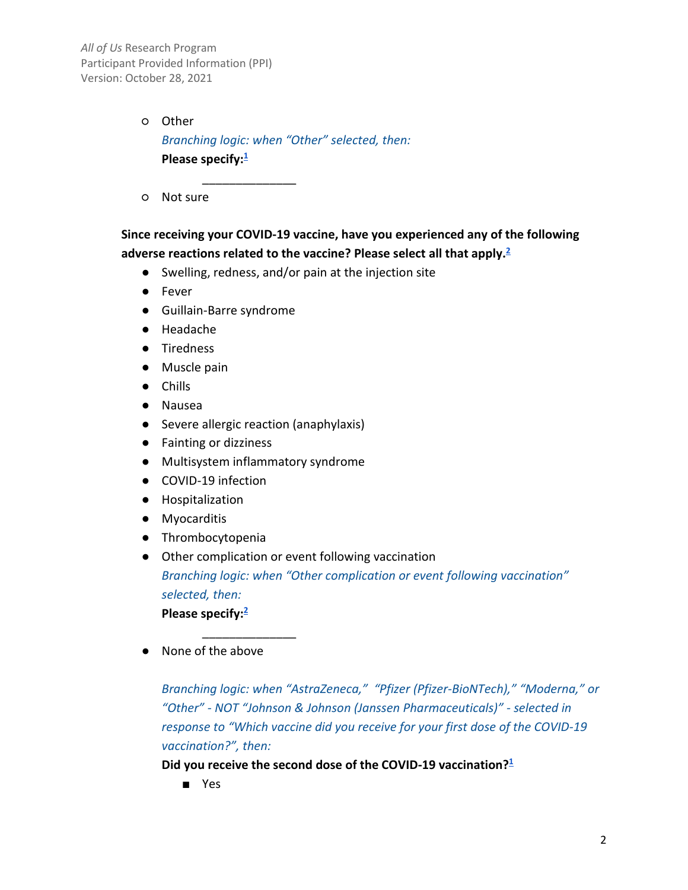> ○ Other *Branching logic: when "Other" selected, then:* **Please specify[:1](#page-9-0)**

> > \_\_\_\_\_\_\_\_\_\_\_\_\_\_

○ Not sure

# **Since receiving your COVID-19 vaccine, have you experienced any of the following adverse reactions related to the vaccine? Please select all that apply[.2](#page-9-0)**

- Swelling, redness, and/or pain at the injection site
- Fever
- Guillain-Barre syndrome
- Headache
- Tiredness
- Muscle pain
- Chills
- Nausea
- Severe allergic reaction (anaphylaxis)
- Fainting or dizziness
- Multisystem inflammatory syndrome

\_\_\_\_\_\_\_\_\_\_\_\_\_\_

- COVID-19 infection
- Hospitalization
- Myocarditis
- Thrombocytopenia
- Other complication or event following vaccination

*Branching logic: when "Other complication or event following vaccination" selected, then:*

**Please specify[:2](#page-9-0)**

● None of the above

*Branching logic: when "AstraZeneca," "Pfizer (Pfizer-BioNTech)," "Moderna," or "Other" - NOT "Johnson & Johnson (Janssen Pharmaceuticals)" - selected in response to "Which vaccine did you receive for your first dose of the COVID-19 vaccination?", then:*

**Did you receive the second dose of the COVID-19 vaccination[?1](#page-9-0)**

■ Yes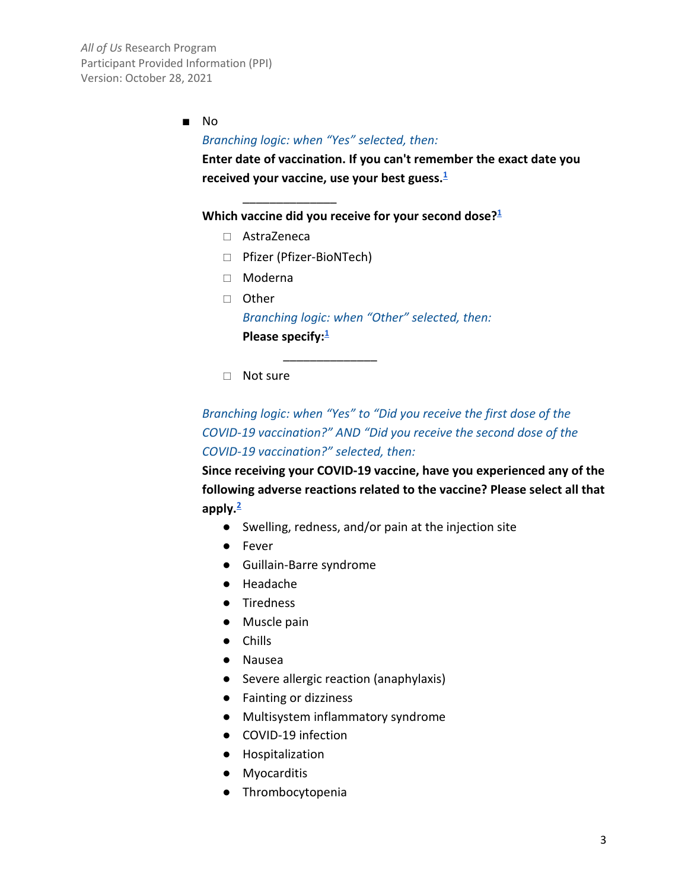■ No

\_\_\_\_\_\_\_\_\_\_\_\_\_\_

#### *Branching logic: when "Yes" selected, then:*

**Enter date of vaccination. If you can't remember the exact date you received your vaccine, use your best guess.1**

Which vaccine did you receive for your second dose?<sup>1</sup>

- AstraZeneca
- Pfizer (Pfizer-BioNTech)
- Moderna
- Other *Branching logic: when "Other" selected, then:* **Please specify:**<sup>1</sup>
- Not sure

\_\_\_\_\_\_\_\_\_\_\_\_\_\_

*Branching logic: when "Yes" to "Did you receive the first dose of the COVID-19 vaccination?" AND "Did you receive the second dose of the COVID-19 vaccination?" selected, then:*

**Since receiving your COVID-19 vaccine, have you experienced any of the following adverse reactions related to the vaccine? Please select all that apply.2**

- Swelling, redness, and/or pain at the injection site
- Fever
- Guillain-Barre syndrome
- Headache
- Tiredness
- Muscle pain
- Chills
- Nausea
- Severe allergic reaction (anaphylaxis)
- Fainting or dizziness
- Multisystem inflammatory syndrome
- COVID-19 infection
- Hospitalization
- Myocarditis
- Thrombocytopenia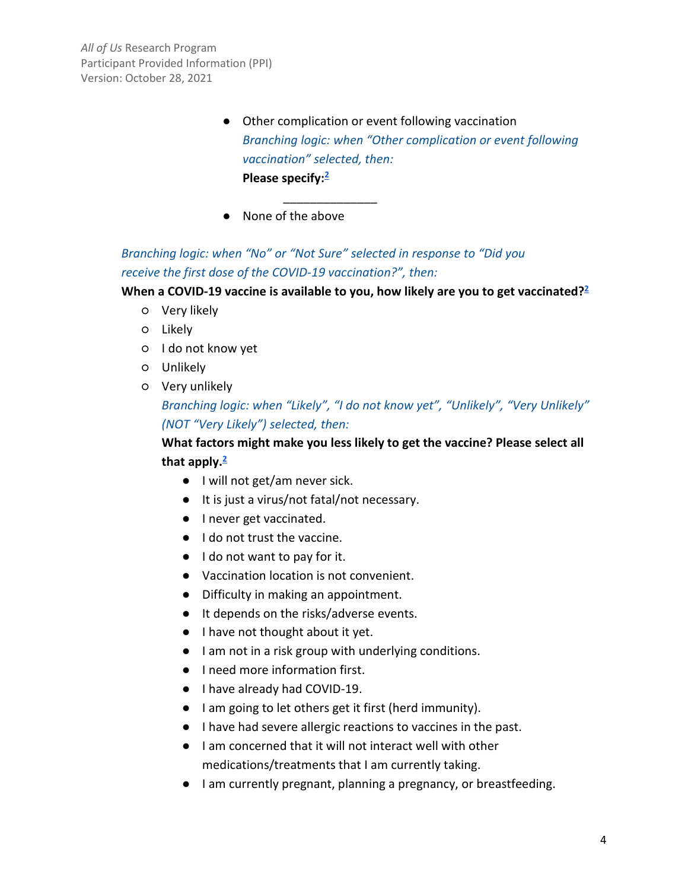- Other complication or event following vaccination *Branching logic: when "Other complication or event following vaccination" selected, then:* **Please specify[:2](#page-9-0)**
- None of the above

# *Branching logic: when "No" or "Not Sure" selected in response to "Did you receive the first dose of the COVID-19 vaccination?", then:*

\_\_\_\_\_\_\_\_\_\_\_\_\_\_

#### **When a COVID-19 vaccine is available to you, how likely are you to get vaccinated[?2](#page-9-0)**

- Very likely
- Likely
- I do not know yet
- Unlikely
- Very unlikely

# *Branching logic: when "Likely", "I do not know yet", "Unlikely", "Very Unlikely" (NOT "Very Likely") selected, then:*

# **What factors might make you less likely to get the vaccine? Please select all that apply[.2](#page-9-0)**

- I will not get/am never sick.
- It is just a virus/not fatal/not necessary.
- I never get vaccinated.
- I do not trust the vaccine.
- I do not want to pay for it.
- Vaccination location is not convenient.
- Difficulty in making an appointment.
- It depends on the risks/adverse events.
- I have not thought about it yet.
- I am not in a risk group with underlying conditions.
- I need more information first.
- I have already had COVID-19.
- I am going to let others get it first (herd immunity).
- I have had severe allergic reactions to vaccines in the past.
- I am concerned that it will not interact well with other medications/treatments that I am currently taking.
- I am currently pregnant, planning a pregnancy, or breastfeeding.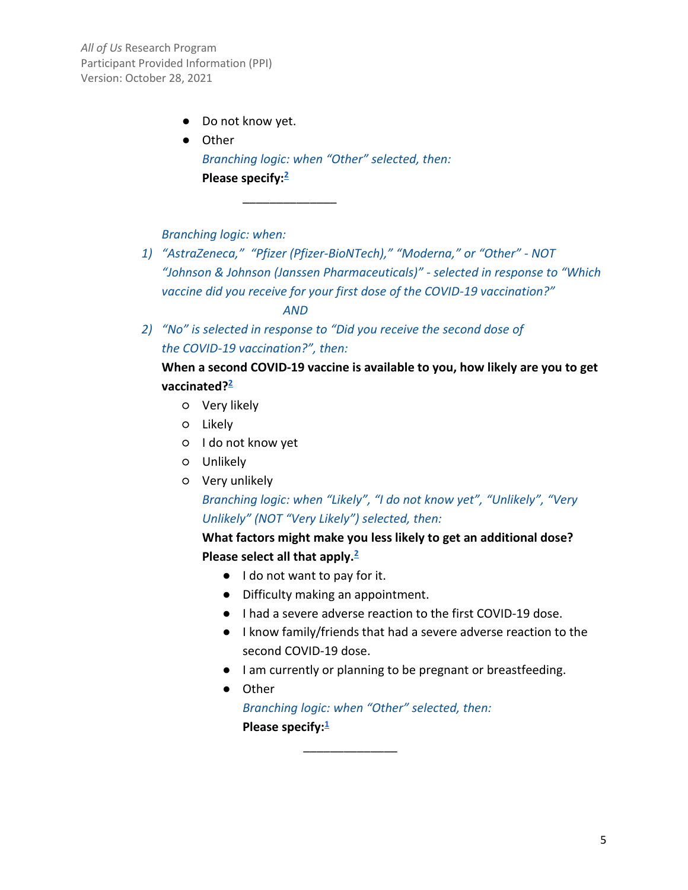- Do not know yet.
- Other *Branching logic: when "Other" selected, then:* **Please specify[:2](#page-9-0)**

*Branching logic: when:*

*1) "AstraZeneca," "Pfizer (Pfizer-BioNTech)," "Moderna," or "Other" - NOT "Johnson & Johnson (Janssen Pharmaceuticals)" - selected in response to "Which vaccine did you receive for your first dose of the COVID-19 vaccination?"* 

*AND*

\_\_\_\_\_\_\_\_\_\_\_\_\_\_

*2) "No" is selected in response to "Did you receive the second dose of the COVID-19 vaccination?", then:*

# **When a second COVID-19 vaccine is available to you, how likely are you to get vaccinated[?2](#page-9-0)**

- Very likely
- Likely
- I do not know yet
- Unlikely
- Very unlikely

# *Branching logic: when "Likely", "I do not know yet", "Unlikely", "Very Unlikely" (NOT "Very Likely") selected, then:*

**What factors might make you less likely to get an additional dose? Please select all that apply[.2](#page-9-0)**

- I do not want to pay for it.
- Difficulty making an appointment.
- I had a severe adverse reaction to the first COVID-19 dose.
- I know family/friends that had a severe adverse reaction to the second COVID-19 dose.
- I am currently or planning to be pregnant or breastfeeding.
- Other

*Branching logic: when "Other" selected, then:* **Please specify[:1](#page-9-0)**

\_\_\_\_\_\_\_\_\_\_\_\_\_\_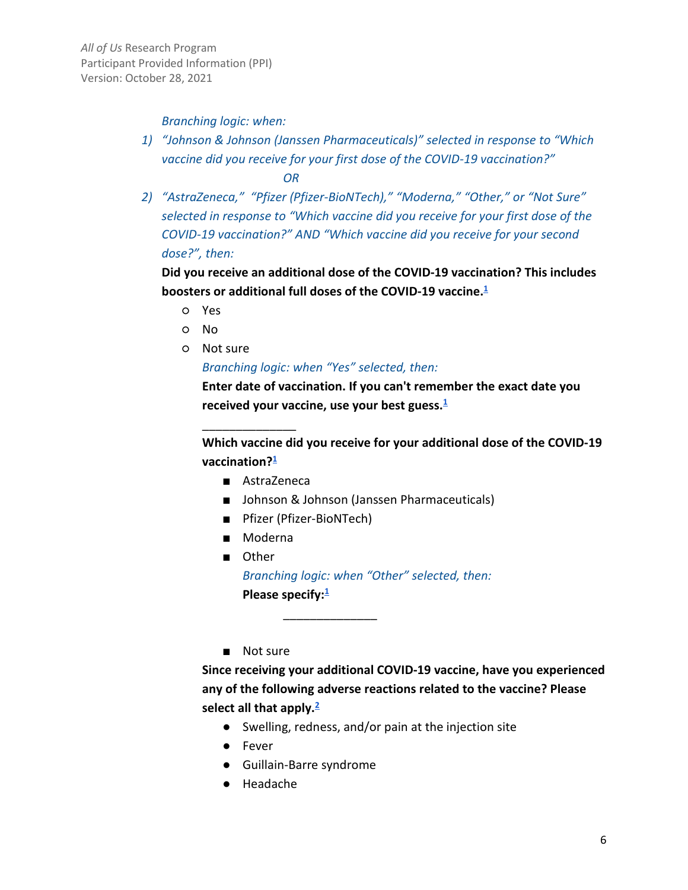#### *Branching logic: when:*

- *1) "Johnson & Johnson (Janssen Pharmaceuticals)" selected in response to "Which vaccine did you receive for your first dose of the COVID-19 vaccination?" OR*
- *2) "AstraZeneca," "Pfizer (Pfizer-BioNTech)," "Moderna," "Other," or "Not Sure" selected in response to "Which vaccine did you receive for your first dose of the COVID-19 vaccination?" AND "Which vaccine did you receive for your second dose?", then:*

**Did you receive an additional dose of the COVID-19 vaccination? This includes boosters or additional full doses of the COVID-19 vaccine[.1](#page-9-0)**

- Yes
- No
- Not sure

*Branching logic: when "Yes" selected, then:*

**Enter date of vaccination. If you can't remember the exact date you received your vaccine, use your best guess[.1](#page-9-0)**

**Which vaccine did you receive for your additional dose of the COVID-19 vaccination[?1](#page-9-0)**

■ AstraZeneca

\_\_\_\_\_\_\_\_\_\_\_\_\_\_

- Johnson & Johnson (Janssen Pharmaceuticals)
- Pfizer (Pfizer-BioNTech)
- Moderna
- Other *Branching logic: when "Other" selected, then:* **Please specify[:1](#page-9-0)**

\_\_\_\_\_\_\_\_\_\_\_\_\_\_

■ Not sure

**Since receiving your additional COVID-19 vaccine, have you experienced any of the following adverse reactions related to the vaccine? Please select all that apply[.2](#page-9-0)**

- Swelling, redness, and/or pain at the injection site
- Fever
- Guillain-Barre syndrome
- Headache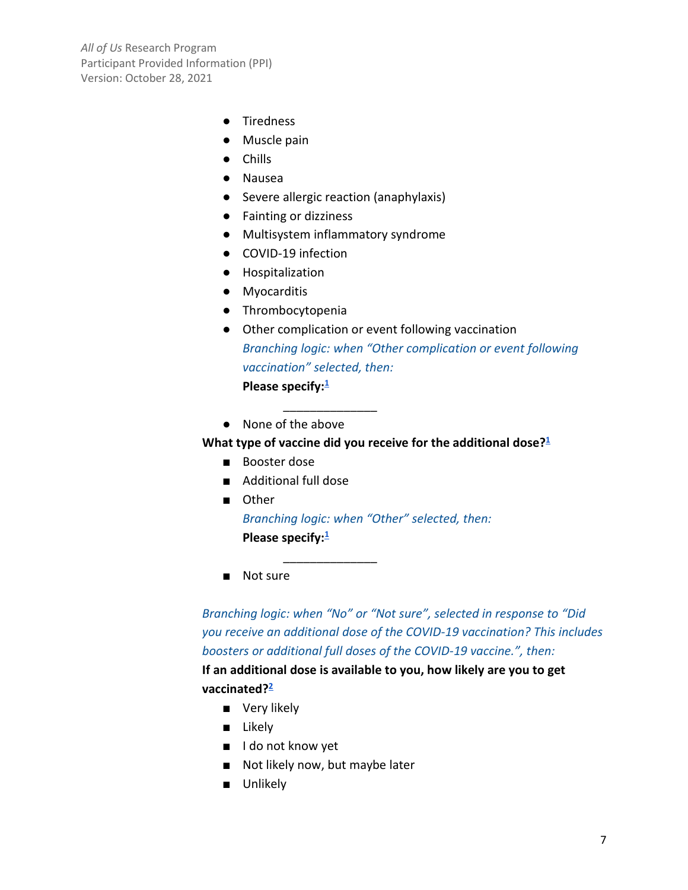- Tiredness
- Muscle pain
- Chills
- Nausea
- Severe allergic reaction (anaphylaxis)
- Fainting or dizziness
- Multisystem inflammatory syndrome

 $\overline{\phantom{a}}$  , where  $\overline{\phantom{a}}$ 

\_\_\_\_\_\_\_\_\_\_\_\_\_\_

- COVID-19 infection
- Hospitalization
- Myocarditis
- Thrombocytopenia
- Other complication or event following vaccination *Branching logic: when "Other complication or event following vaccination" selected, then:* **Please specify[:1](#page-9-0)**
- None of the above

What type of vaccine did you receive for the additional dose?<sup>1</sup>

- Booster dose
- Additional full dose
- Other *Branching logic: when "Other" selected, then:* **Please specify[:1](#page-9-0)**
- Not sure

*Branching logic: when "No" or "Not sure", selected in response to "Did you receive an additional dose of the COVID-19 vaccination? This includes boosters or additional full doses of the COVID-19 vaccine.", then:*

**If an additional dose is available to you, how likely are you to get vaccinated[?2](#page-9-0)**

- Very likely
- Likely
- I do not know yet
- Not likely now, but maybe later
- Unlikely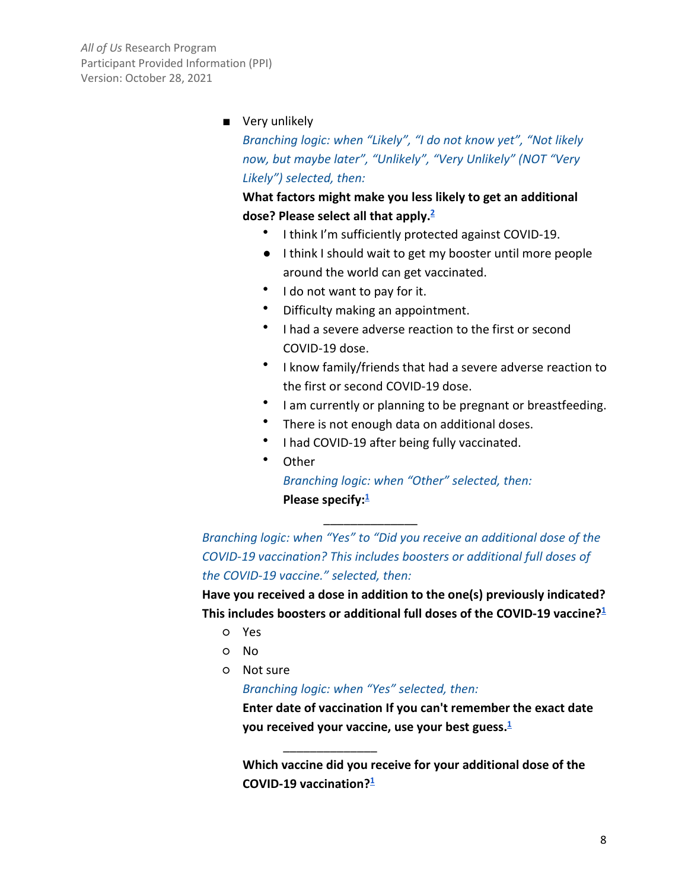#### ■ Very unlikely

*Branching logic: when "Likely", "I do not know yet", "Not likely now, but maybe later", "Unlikely", "Very Unlikely" (NOT "Very Likely") selected, then:*

### **What factors might make you less likely to get an additional dose? Please select all that apply[.2](#page-9-0)**

- I think I'm sufficiently protected against COVID-19.
- I think I should wait to get my booster until more people around the world can get vaccinated.
- I do not want to pay for it.
- Difficulty making an appointment.
- I had a severe adverse reaction to the first or second COVID-19 dose.
- I know family/friends that had a severe adverse reaction to the first or second COVID-19 dose.
- I am currently or planning to be pregnant or breastfeeding.
- There is not enough data on additional doses.
- I had COVID-19 after being fully vaccinated.

\_\_\_\_\_\_\_\_\_\_\_\_\_\_

• Other

*Branching logic: when "Other" selected, then:* **Please specify:**<sup>1</sup>

*Branching logic: when "Yes" to "Did you receive an additional dose of the COVID-19 vaccination? This includes boosters or additional full doses of the COVID-19 vaccine." selected, then:*

**Have you received a dose in addition to the one(s) previously indicated? This includes boosters or additional full doses of the COVID-19 vaccine[?1](#page-9-0)**

- Yes
- No
- Not sure

*Branching logic: when "Yes" selected, then:*

\_\_\_\_\_\_\_\_\_\_\_\_\_\_

**Enter date of vaccination If you can't remember the exact date you received your vaccine, use your best guess[.1](#page-9-0)**

**Which vaccine did you receive for your additional dose of the COVID-19 vaccination[?1](#page-9-0)**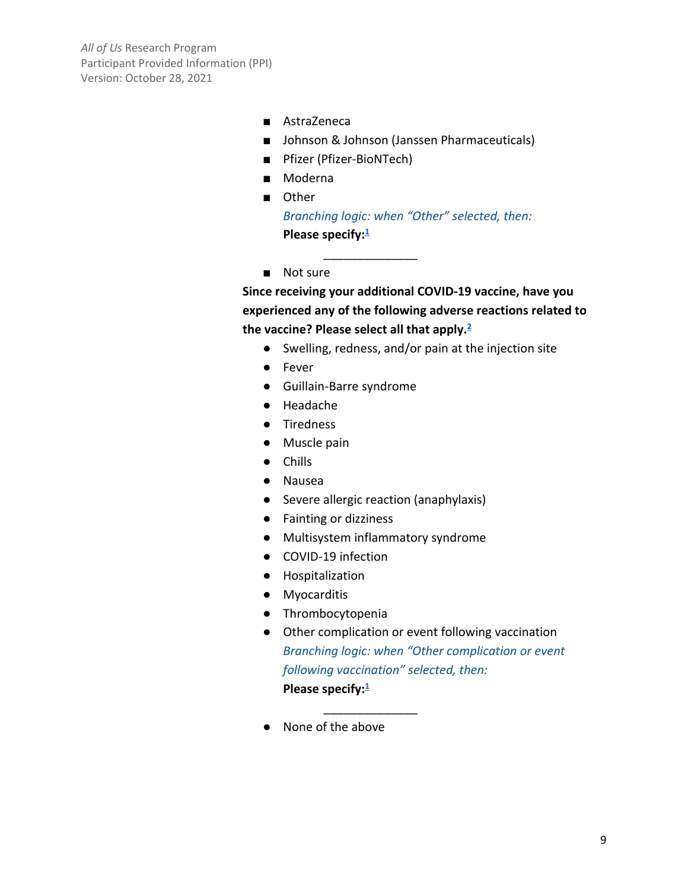- AstraZeneca
- Johnson & Johnson (Janssen Pharmaceuticals)
- Pfizer (Pfizer-BioNTech)
- Moderna
- Other

*Branching logic: when "Other" selected, then:* **Please specify[:1](#page-9-0)**

\_\_\_\_\_\_\_\_\_\_\_\_\_\_

■ Not sure

**Since receiving your additional COVID-19 vaccine, have you experienced any of the following adverse reactions related to the vaccine? Please select all that apply[.2](#page-9-0)**

- Swelling, redness, and/or pain at the injection site
- Fever
- Guillain-Barre syndrome
- Headache
- Tiredness
- Muscle pain
- Chills
- Nausea
- Severe allergic reaction (anaphylaxis)
- Fainting or dizziness
- Multisystem inflammatory syndrome

\_\_\_\_\_\_\_\_\_\_\_\_\_\_

- COVID-19 infection
- Hospitalization
- Myocarditis
- Thrombocytopenia
- Other complication or event following vaccination *Branching logic: when "Other complication or event following vaccination" selected, then:* **Please specify[:1](#page-9-0)**
- None of the above